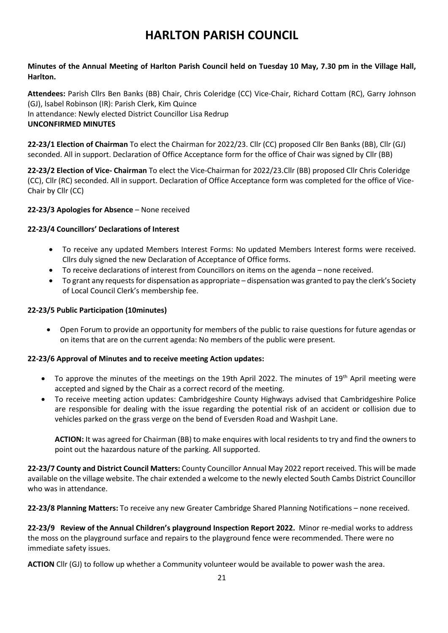# **HARLTON PARISH COUNCIL**

## **Minutes of the Annual Meeting of Harlton Parish Council held on Tuesday 10 May, 7.30 pm in the Village Hall, Harlton.**

**Attendees:** Parish Cllrs Ben Banks (BB) Chair, Chris Coleridge (CC) Vice-Chair, Richard Cottam (RC), Garry Johnson (GJ), lsabel Robinson (IR): Parish Clerk, Kim Quince In attendance: Newly elected District Councillor Lisa Redrup **UNCONFIRMED MINUTES**

**22-23/1 Election of Chairman** To elect the Chairman for 2022/23. Cllr (CC) proposed Cllr Ben Banks (BB), Cllr (GJ) seconded. All in support. Declaration of Office Acceptance form for the office of Chair was signed by Cllr (BB)

**22-23/2 Election of Vice- Chairman** To elect the Vice-Chairman for 2022/23.Cllr (BB) proposed Cllr Chris Coleridge (CC), Cllr (RC) seconded. All in support. Declaration of Office Acceptance form was completed for the office of Vice-Chair by Cllr (CC)

#### **22-23/3 Apologies for Absence** – None received

#### **22-23/4 Councillors' Declarations of Interest**

- To receive any updated Members Interest Forms: No updated Members Interest forms were received. Cllrs duly signed the new Declaration of Acceptance of Office forms.
- To receive declarations of interest from Councillors on items on the agenda none received.
- To grant any requests for dispensation as appropriate dispensation was granted to pay the clerk's Society of Local Council Clerk's membership fee.

#### **22-23/5 Public Participation (10minutes)**

• Open Forum to provide an opportunity for members of the public to raise questions for future agendas or on items that are on the current agenda: No members of the public were present.

#### **22-23/6 Approval of Minutes and to receive meeting Action updates:**

- To approve the minutes of the meetings on the 19th April 2022. The minutes of  $19<sup>th</sup>$  April meeting were accepted and signed by the Chair as a correct record of the meeting.
- To receive meeting action updates: Cambridgeshire County Highways advised that Cambridgeshire Police are responsible for dealing with the issue regarding the potential risk of an accident or collision due to vehicles parked on the grass verge on the bend of Eversden Road and Washpit Lane.

**ACTION:** It was agreed for Chairman (BB) to make enquires with local residents to try and find the owners to point out the hazardous nature of the parking. All supported.

**22-23/7 County and District Council Matters:** County Councillor Annual May 2022 report received. This will be made available on the village website. The chair extended a welcome to the newly elected South Cambs District Councillor who was in attendance.

**22-23/8 Planning Matters:** To receive any new Greater Cambridge Shared Planning Notifications – none received.

**22-23/9 Review of the Annual Children's playground Inspection Report 2022.** Minor re-medial works to address the moss on the playground surface and repairs to the playground fence were recommended. There were no immediate safety issues.

**ACTION** Cllr (GJ) to follow up whether a Community volunteer would be available to power wash the area.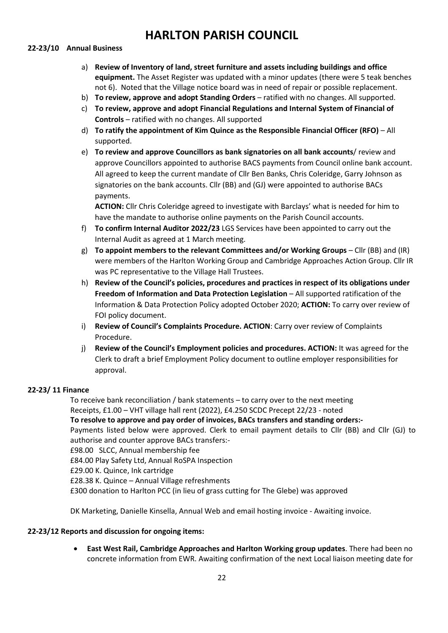## **HARLTON PARISH COUNCIL**

#### **22-23/10 Annual Business**

- a) **Review of Inventory of land, street furniture and assets including buildings and office equipment.** The Asset Register was updated with a minor updates (there were 5 teak benches not 6). Noted that the Village notice board was in need of repair or possible replacement.
- b) **To review, approve and adopt Standing Orders** ratified with no changes. All supported.
- c) **To review, approve and adopt Financial Regulations and Internal System of Financial of Controls** – ratified with no changes. All supported
- d) **To ratify the appointment of Kim Quince as the Responsible Financial Officer (RFO)** All supported.
- e) **To review and approve Councillors as bank signatories on all bank accounts**/ review and approve Councillors appointed to authorise BACS payments from Council online bank account. All agreed to keep the current mandate of Cllr Ben Banks, Chris Coleridge, Garry Johnson as signatories on the bank accounts. Cllr (BB) and (GJ) were appointed to authorise BACs payments.

**ACTION:** Cllr Chris Coleridge agreed to investigate with Barclays' what is needed for him to have the mandate to authorise online payments on the Parish Council accounts.

- f) **To confirm Internal Auditor 2022/23** LGS Services have been appointed to carry out the Internal Audit as agreed at 1 March meeting.
- g) **To appoint members to the relevant Committees and/or Working Groups**  Cllr (BB) and (IR) were members of the Harlton Working Group and Cambridge Approaches Action Group. Cllr IR was PC representative to the Village Hall Trustees.
- h) **Review of the Council's policies, procedures and practices in respect of its obligations under Freedom of Information and Data Protection Legislation** – All supported ratification of the Information & Data Protection Policy adopted October 2020; **ACTION:** To carry over review of FOI policy document.
- i) **Review of Council's Complaints Procedure. ACTION**: Carry over review of Complaints Procedure.
- j) **Review of the Council's Employment policies and procedures. ACTION:** It was agreed for the Clerk to draft a brief Employment Policy document to outline employer responsibilities for approval.

#### **22-23/ 11 Finance**

To receive bank reconciliation / bank statements – to carry over to the next meeting Receipts, £1.00 – VHT village hall rent (2022), £4.250 SCDC Precept 22/23 - noted **To resolve to approve and pay order of invoices, BACs transfers and standing orders:-** Payments listed below were approved. Clerk to email payment details to Cllr (BB) and Cllr (GJ) to authorise and counter approve BACs transfers:- £98.00 SLCC, Annual membership fee £84.00 Play Safety Ltd, Annual RoSPA Inspection £29.00 K. Quince, Ink cartridge £28.38 K. Quince – Annual Village refreshments

£300 donation to Harlton PCC (in lieu of grass cutting for The Glebe) was approved

DK Marketing, Danielle Kinsella, Annual Web and email hosting invoice - Awaiting invoice.

### **22-23/12 Reports and discussion for ongoing items:**

• **East West Rail, Cambridge Approaches and Harlton Working group updates**. There had been no concrete information from EWR. Awaiting confirmation of the next Local liaison meeting date for